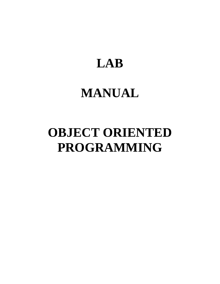# **LAB**

# **MANUAL**

# **OBJECT ORIENTED PROGRAMMING**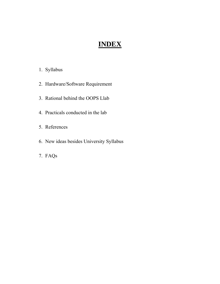# **INDEX**

# 1. Syllabus

- 2. Hardware/Software Requirement
- 3. Rational behind the OOPS Llab
- 4. Practicals conducted in the lab
- 5. References
- 6. New ideas besides University Syllabus
- 7. FAQs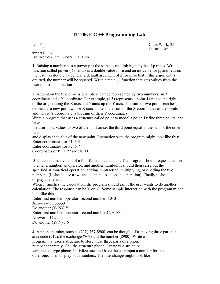## **IT-206 F C ++ Programming Lab.**

L T P Class Work: 25 - - 2 Exam: 25 Total: 50 Duration of Exam: 3 Hrs.

**1**. Raising a number n to a power p is the same as multiplying n by itself p times. Write a function called power ( ) that takes a double value for n and an int value for p, and returns the result as double value. Use a default argument of 2 for p, so that if this argument is omitted, the number will be squared. Write a main ( ) function that gets values from the user to test this function.

**2**. A point on the two dimensional plane can be represented by two numbers: an X coordinate and a Y coordinate. For example, (4,5) represents a point 4 units to the right of the origin along the X axis and 5 units up the Y axis. The sum of two points can be defined as a new point whose X coordinate is the sum of the X coordinates of the points and whose Y coordinate is the sum of their Y coordinates.

Write a program that uses a structure called point to model a point. Define three points, and have

the user input values to two of them. Than set the third point equal to the sum of the other two,

and display the value of the new point. Interaction with the program might look like this: Enter coordinates for P1: 3 4

Enter coordinates for P2: 5 7

Coordinates of  $P1 + P2$  are : 8, 11

**3.** Create the equivalent of a four function calculator. The program should request the user to enter a number, an operator, and another number. It should then carry out the specified arithmetical operation: adding, subtracting, multiplying, or dividing the two numbers. (It should use a switch statement to select the operation). Finally it should display the result.

When it finishes the calculation, the program should ask if the user wants to do another calculation. The response can be Y or N. Some sample interaction with the program might look like this.

Enter first number, operator, second number: 10/ 3 Answer =  $3.333333$ Do another (Y/ N)? Y Enter first number, operator, second number  $12 + 100$ Answer  $= 112$ Do another  $(Y/N)$  ? N

**4**. A phone number, such as (212) 767-8900, can be thought of as having three parts: the area code (212), the exchange (767) and the number (8900). Write a program that uses a structure to store these three parts of a phone number separately. Call the structure phone. Create two structure variables of type phone. Initialize one, and have the user input a number for the other one. Then display both numbers. The interchange might look like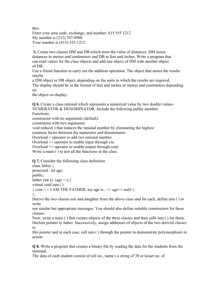Enter your area code, exchange, and number: 415 555 1212 My number is (212) 767-8900 Your number is (415) 555-1212

 **5.** Create two classes DM and DB which store the value of distances. DM stores distances in metres and centimeters and DB in feet and inches. Write a program that can read values for the class objects and add one object of DM with another object of DB.

Use a friend function to carry out the addition operation. The object that stores the results maybe

a DM object or DB object, depending on the units in which the results are required. The display should be in the format of feet and inches or metres and cenitmetres depending on

the object on display.

**Q 6.** Create a class rational which represents a numerical value by two double values-NUMERATOR & DENOMINATOR. Include the following public member

Functions:

constructor with no arguments (default).

constructor with two arguments.

void reduce( ) that reduces the rational number by eliminating the highest

common factor between the numerator and denominator.

Overload + operator to add two rational number.

Overload >> operator to enable input through cin.

Overload << operator to enable output through cout. Write a main ( ) to test all the functions in the class.

**Q 7.** Consider the following class definition class father {

protected : int age;

public;

father (int x) { $age = x$ ;}

virtual void iam ( )

{  $\text{cout}$  < < I AM THE FATHER, my age is : << age << end1:} };

Derive the two classes son and daughter from the above class and for each, define iam ( ) to write

our similar but appropriate messages. You should also define suitable constructors for these classes.

Now, write a main ( ) that creates objects of the three classes and then calls iam ( ) for them. Declare pointer to father. Successively, assign addresses of objects of the two derived classes to

this pointer and in each case, call iam ( ) through the pointer to demonstrate polymorphism in action.

**Q 8.** Write a program that creates a binary file by reading the data for the students from the terminal.

The data of each student consist of roll no., name ( a string of 30 or lesser no. of

this: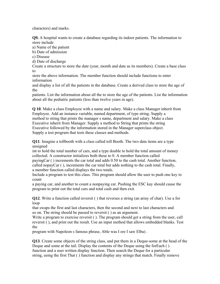characters) and marks.

**Q9.** A hospital wants to create a database regarding its indoor patients. The information to store include

a) Name of the patient

b) Date of admission

c) Disease

d) Date of discharge

Create a structure to store the date (year, month and date as its members). Create a base class to

store the above information. The member function should include functions to enter information

and display a list of all the patients in the database. Create a derived class to store the age of the

patients. List the information about all the to store the age of the patients. List the information about all the pediatric patients (less than twelve years in age).

**Q 10**. Make a class Employee with a name and salary. Make a class Manager inherit from Employee. Add an instance variable, named department, of type string. Supply a method to string that prints the manager s name, department and salary. Make a class Executive inherit from Manager. Supply a method to String that prints the string Executive followed by the information stored in the Manager superclass object. Supply a test program that tests these classes and methods.

**Q11**. Imagine a tollbooth with a class called toll Booth. The two data items are a type unsigned

int to hold the total number of cars, and a type double to hold the total amount of money collected. A constructor initializes both these to 0. A member function called payingCar ( ) increments the car total and adds 0.50 to the cash total. Another function, called nopayCar ( ), increments the car total but adds nothing to the cash total. Finally, a member function called displays the two totals.

Include a program to test this class. This program should allow the user to push one key to count

a paying car, and another to count a nonpaying car. Pushing the ESC kay should cause the program to print out the total cars and total cash and then exit.

**Q12**. Write a function called reversit ( ) that reverses a string (an array of char). Use a for loop

that swaps the first and last characters, then the second and next to last characters and so on. The string should be passed to reversit ( ) as an argument.

Write a program to exercise reversit (). The program should get a string from the user, call reversit ( ), and print out the result. Use an input method that allows embedded blanks. Test the

program with Napoleon s famous phrase, Able was I ere I saw Elba) .

**Q13**. Create some objects of the string class, and put them in a Deque-some at the head of the Deque and some at the tail. Display the contents of the Deque using the forEach ( ) function and a user written display function. Then search the Deque for a particular string, using the first That ( ) function and display any strings that match. Finally remove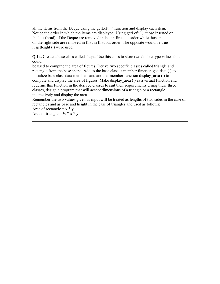all the items from the Deque using the getLeft ( ) function and display each item. Notice the order in which the items are displayed: Using getLeft ( ), those inserted on the left (head) of the Deque are removed in last in first out order while those put on the right side are removed in first in first out order. The opposite would be true if getRight ( ) were used.

**Q 14.** Create a base class called shape. Use this class to store two double type values that could

be used to compute the area of figures. Derive two specific classes called triangle and rectangle from the base shape. Add to the base class, a member function get data ( ) to initialize base class data members and another member function display area ( ) to compute and display the area of figures. Make display area ( ) as a virtual function and redefine this function in the derived classes to suit their requirements.Using these three classes, design a program that will accept dimensions of a triangle or a rectangle interactively and display the area.

Remember the two values given as input will be treated as lengths of two sides in the case of rectangles and as base and height in the case of triangles and used as follows:

Area of rectangle  $= x * v$ Area of triangle =  $\frac{1}{2}$  \* x \* y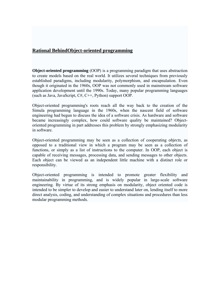## **Rational BehindObject-oriented programming**

**Object-oriented programming** (OOP) is a programming paradigm that uses abstraction to create models based on the real world. It utilizes several techniques from previously established paradigms, including modularity, polymorphism, and encapsulation. Even though it originated in the 1960s, OOP was not commonly used in mainstream software application development until the 1990s. Today, many popular programming languages (such as Java, JavaScript, C#, C++, Python) support OOP.

Object-oriented programming's roots reach all the way back to the creation of the Simula programming language in the 1960s, when the nascent field of software engineering had begun to discuss the idea of a software crisis. As hardware and software became increasingly complex, how could software quality be maintained? Objectoriented programming in part addresses this problem by strongly emphasizing modularity in software.

Object-oriented programming may be seen as a collection of cooperating *objects*, as opposed to a traditional view in which a program may be seen as a collection of functions, or simply as a list of instructions to the computer. In OOP, each object is capable of receiving messages, processing data, and sending messages to other objects. Each object can be viewed as an independent little machine with a distinct role or responsibility.

Object-oriented programming is intended to promote greater flexibility and maintainability in programming, and is widely popular in large-scale software engineering. By virtue of its strong emphasis on modularity, object oriented code is intended to be simpler to develop and easier to understand later on, lending itself to more direct analysis, coding, and understanding of complex situations and procedures than less modular programming methods.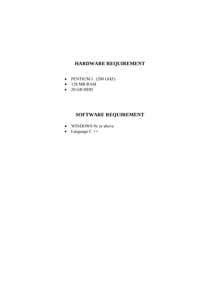# **HARDWARE REQUIREMENT**

- PENTIUM I (200 GHZ)
- 128 MB RAM
- 20 GB HDD

# **SOFTWARE REQUIREMENT**

- WINDOWS 9x or above
- Language C ++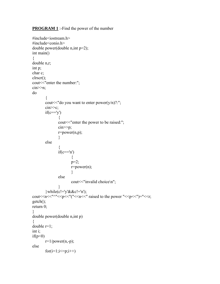**PROGRAM 1** :- Find the power of the number

```
#include<iostream.h> 
#include<conio.h> 
double power(double n,int p=2); 
int main() 
{ 
double n,r; 
int p; 
char c; 
clrscr(); 
cout << "enter the number:";
cin>>n; 
do 
        \{cout << "do you want to enter power(y/n)?:";
        \text{cin} \geq \text{c};
        if(c=='y')\{cout << "enter the power to be raised:";
                  cin>>p; 
                 r = power(n,p); } 
         else 
\{if(c=='n')\{ p=2; 
                          r=power(n); 
 } 
                  else 
                         cout << "invalid choice\n";
 } 
        \}while(c!='y'&&c!='n');
cout << n \lt 1 < n \lt 1 and n \lt 2 and n \lt 3 and n \lt 4 and n \lt 4 and n \lt 4 and n \lt 4 and n \lt 4 and n \lt 4 and n \lt 4 and n \lt 4 and n \lt 4 and n \lt 4 and n \lt 4 and n \lt 4 and n \lt 4 and n \lt 4 and
getch(); 
return 0; 
} 
double power(double n,int p) 
{ 
double r=1;
int i; 
if(p<0)r=1/power(n,-p);else 
        for(i=1;i<=p;i++)
```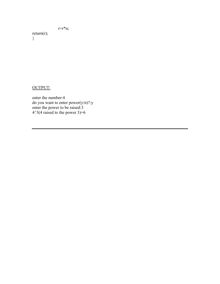## r=r\*n;

return $(r)$ ;

}

## OUTPUT:

enter the number:4 do you want to enter power(y/n)?:y enter the power to be raised:3  $4^{\wedge}3(4 \text{ raised to the power } 3)=6$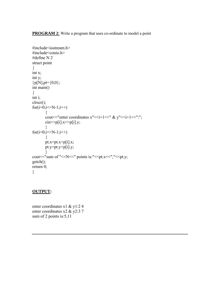**PROGRAM 2**: Write a program that uses co-ordinate to model a point

```
#include<iostream.h> 
#include<conio.h> 
#define N 2 
struct point 
{ 
int x; 
int y; 
{}_{p}^{p}[N], pt=\{0,0\};int main() 
{ 
int i; 
clrscr(); 
for(i=0;i<=N-1;i++)\{cout <<<<<<<<<r/>" enter coordinates x"<<i+1<<<'.er" & y"<<i+1<<'.'';
         \text{cin} \geq \text{p[i].x} \geq \text{p[i].y}; } 
for(i=0; i \le N-1; i++) { 
          pt.x=pt.x+p[i].x; 
          pt.y=pt.y+p[i].y; 
          } 
cout << "sum of "<< N <<< " points is:"<< pt.x << "," << pt.y;
getch(); 
return 0; 
}
```
#### **OUTPUT:**

enter coordinates x1 & y1:2 4 enter coordinates x2 & y2:3 7 sum of 2 points is: 5,11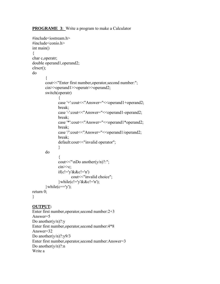**PROGRAME 3:** Write a program to make a Calculator

```
#include<iostream.h> 
#include<conio.h> 
int main() 
\{char c,operatr; 
double operand1,operand2; 
clrscr(); 
do 
       \{ cout<<"Enter first number,operator,second number:"; 
        cin>>operand1>>operatr>>operand2; 
        switch(operatr) 
\{case '+':cout<<"Answer="<<operand1+operand2;
               break; 
              case '-':cout<<"Answer="<<operand1-operand2;
               break; 
              case '*':cout<<"Answer="<<operand1*operand2;
               break; 
              case '/':cout<<"Answer="<<operand1/operand2;
               break; 
              default:cout << "invalid operator";
 } 
        do 
\{cout<<"\nDo another(y/n)?:";
              \text{cin} \geq \text{c};
              if(c!='y'&&c!='n')
                     cout << "invalid choice";
              \{\text{while}(c!=v'\&\&c!=n')\};
       \hbarwhile(c=='y');
return 0; 
} 
OUTPUT: 
Enter first number,operator,second number:2+3 
Answer=5 
Do another(y/n)?:yEnter first number,operator,second number:4*8
```

```
Answer=32 
Do another(y/n)?:y9/3
```

```
Enter first number,operator,second number:Answer=3 
Do another(y/n)?:n
```

```
Write a
```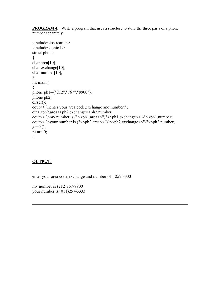**PROGRAM 4.** Write a program that uses a structure to store the three parts of a phone number separately.

```
#include<iostream.h> 
#include<conio.h> 
struct phone 
\{char area<sup>[10]</sup>;
char exchange[10];
char number[10]; 
}; 
int main() 
\{phone ph1={"212","767","8900"}; 
phone ph2; 
clrscr(); 
cout<<"\nenter your area code,exchange and number:";
cin>>ph2.area>>ph2.exchange>>ph2.number; 
cout<<"\nmy number is ("<<ph1.area<<")"<<ph1.exchange<<"-"<<ph1.number;
cout << "\nyour number is ("<< ph2.area << ")" << ph2.exchange << "-" << ph2.number;
getch(); 
return 0; 
}
```
## **OUTPUT:**

enter your area code,exchange and number:011 257 3333

my number is (212)767-8900 your number is (011)257-3333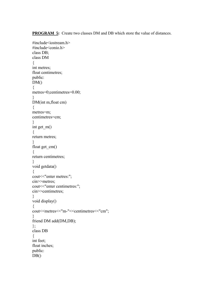**PROGRAM 5:** Create two classes DM and DB which store the value of distances.

```
#include<iostream.h> 
#include<conio.h> 
class DB; 
class DM 
{ 
int metres; 
float centimetres;
public: 
DM()\{metres=0;centimetres=0.00; 
} 
DM(int m,float cm) 
{ 
metres=m; 
centimetres=cm; 
} 
int get_m() 
\{return metres; 
} 
float get_cm() 
\{return centimetres; 
} 
void getdata() 
{ 
cout << "enter metres:";
cin>>metres; 
cout << "enter centimetres:";
cin>>centimetres; 
} 
void display() 
{ 
cout<<metres<<"m-"<<centimetres<<"cm";
} 
friend DM add(DM,DB); 
}; 
class DB 
{ 
int feet; 
float inches; 
public: 
DB()
```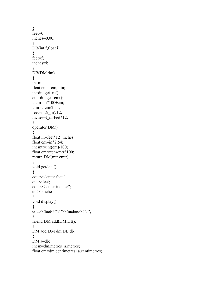```
\overline{\mathbf{A}}feet=0;
inches=0.00; 
} 
DB(int f,float i)
{ 
feet=f; 
inches=i; 
} 
DB(DM dm) 
\{int m; 
float cm,t_cm,t_in;
m=dm.get m();
cm=dm.get cm();
t cm=m*100+cm;
\overline{t} in=t_cm/2.54;
feet=int(t_in)/12;
inches=t_in-feet*12; 
} 
operator DM() 
{ 
float in=feet*12+inches; 
float cm=in*2.54;
int mtr=int(cm)/100;float cmtr=cm-mtr*100; 
return DM(mtr,cmtr); 
} 
void getdata() 
{ 
cout << "enter feet:";
cin>>feet; 
cout << "enter inches:";
cin>>inches; 
} 
void display() 
{ 
cout<<feet<<"\'-"<<inches<<"\""; 
} 
friend DM add(DM,DB); 
}; 
DM add(DM dm,DB db) 
{ 
DM a=db;
int m=dm.metres+a.metres; 
float cm=dm.centimetres+a.centimetres;
```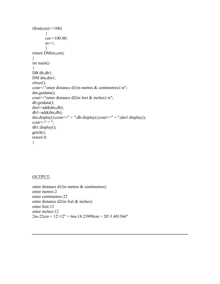```
if(int(cm)=100) { 
         cm-=100.00; 
        m_{++};
          } 
return DM(m,cm); 
} 
int main() 
\{DB db,db1;
DM dm,dm1;
clrscr(); 
cout << "enter distance d1(in metres \& centimetres):\ln";
dm.getdata(); 
cout << "enter distance d2(in feet \& inches):\n";
db.getdata(); 
dm1=add(dm,db); 
db1 = add(dm, db);dm.display();\text{cout}<< \text{" + "}; \text{db.display}();\text{cout}<< \text{" = "}; \text{dm1.display}();
\text{cout}<<'' = \dotsdb1.display(); 
getch(); 
return 0; 
}
```
#### OUTPUT:

enter distance d1(in metres & centimetres): enter metres:2 enter centimetres:22 enter distance d2(in feet & inches): enter feet:12 enter inches:12  $2m-22cm + 12'-12" = 6m-18.23999cm = 20'-3.401566"$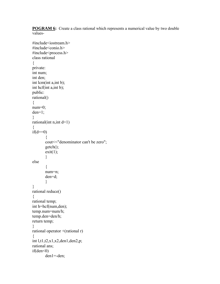**POGRAM 6:** Create a class rational which represents a numerical value by two double values-

```
#include<iostream.h> 
#include<conio.h> 
#include<process.h> 
class rational 
{ 
private: 
int num; 
int den; 
int lcm(int a,int b); 
int hcf(int a,int b); 
public: 
rational() 
\{num=0; 
den=1; 
} 
rational(int n, int d=1)
{ 
if(d==0)\{cout << "denominator can't be zero";
         getch(); 
        exit(1); } 
else 
        \{ num=n; 
         den=d; 
         } 
} 
rational reduce() 
\{rational temp; 
int h=hcf(num,den); 
temp.num=num/h; 
temp.den=den/h; 
return temp; 
}
rational operator +(rational r) 
{ 
int l,t1,t2,x1,x2,den1,den2,p; 
rational ans; 
if(den<0) den1=-den;
```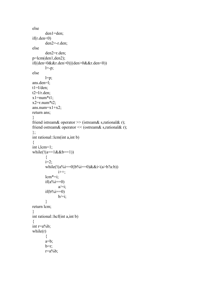```
else 
        den1=den; 
if(r.den<0) den2=-r.den; 
else 
        den2=r.den; 
p=lcm(den1,den2); 
if((den<0&&r.den>0)||(den>0&&r.den<0)) 
       l=-p;else 
       l=p;ans.den=l; 
t1 = 1/den;
t2=1/r.den;
x1=num*t1;x2=r.num*t2;ans.num=x1+x2;
return ans; 
} 
friend istream& operator \gg (istream& s,rational& r);
friend ostream& operator << (ostream& s,rational& r); 
}; 
int rational::lcm(int a,int b) 
{ 
int i,lcm=1; 
while(!(a == 1 & \& b == 1)) { 
       i=2;
       while(!(a%i==0||b%i==0)&&i<(a>b?a:b))
                i++; 
        lcm*=i; 
       if(a\%i==0)
               a/\equiv i;
       if(b\%i==0)b/=i;
         } 
return lcm; 
} 
int rational::hcf(int a,int b) 
{ 
int r=a\%b;
while(r) { 
       a=b;
        b=r; 
       r=a\%b;
```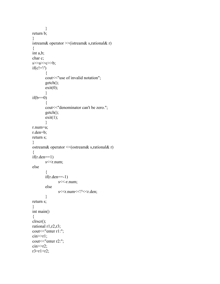```
 } 
return b; 
} 
istream& operator >>(istream& s,rational& r) 
\{int a,b; 
char c; 
s \rightarrow a \rightarrow c \rightarrow b;if(c!=')\{cout << "use of invalid notation";
         getch(); 
        exit(0); } 
if(b==0)\{cout << "denominator can't be zero.";
         getch(); 
        exit(1); } 
r.num=a; 
r.den=b; 
return s; 
} 
ostream& operator <<(ostream& s,rational& r) 
{ 
if(r.den==1)s < r.num;
else 
         { 
        if(r.den==1)s < r.num;
         else 
                  s<<r.num<<'/'<<r.den; 
         } 
return s; 
} 
int main() 
\{clrscr(); 
rational r1,r2,r3; 
cout << "enter r1:";
cin>>r1;cout << "enter r2:";
\text{cin} \geq r2;
r3=r1+r2;
```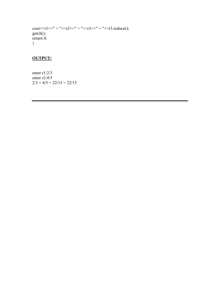```
cout << r1 << " + " << r2 << " = " << r3 << r3 r= " << r3 r= " << r3 r=getch(); 
return 0; 
}
```
# **OUTPUT:**

enter r1:2/3 enter r2:4/5  $2/3 + 4/5 = 22/15 = 22/15$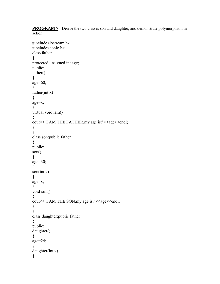**PROGRAM 7:** Derive the two classes son and daughter, and demonstrate polymorphism in action.

```
#include<iostream.h> 
#include<conio.h> 
class father 
{ 
protected:unsigned int age; 
public: 
father() 
\{age=60; 
} 
father(int x) 
\{age=x; 
} 
virtual void iam() 
\{cout<<"I AM THE FATHER, my age is:"<<ase<<endl;
} 
}; 
class son:public father 
\{public: 
son() 
{ 
age=30;} 
son(int x) 
\{age=x; 
} 
void iam() 
\{cout<<"I AM THE SON, my age is:"<<ase<<endl;
} 
}; 
class daughter:public father 
{ 
public: 
daughter() 
{ 
age=24; 
} 
daughter(int x) 
{
```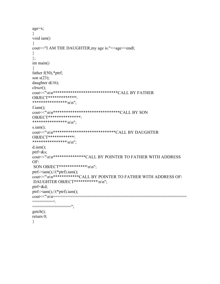```
age=x; 
} 
void iam() 
{ 
cout<<"I AM THE DAUGHTER, my age is:"<<age<<endl;
} 
}; 
int main() 
{ 
father f(50),*ptrf;
son s(23);
daughter d(16); 
clrscr(); 
cout<<"\n\n******************************CALL BY FATHER 
OBJECT*************\ 
*****************\n\n";
f.iam();
cout<<"\n\n*******************************CALL BY SON 
OBJECT***************\ 
****************\n\n"; 
s.iam();
cout<<"\n\n*****************************CALL BY DAUGHTER 
OBJECT************\ 
****************\n\n";
d.iam(); 
ptrf=&s; 
cout<<"\n\n***************CALL BY POINTER TO FATHER WITH ADDRESS 
OF\setminusSON OBJECT*************\n\n";
ptrf->iam();//(*ptrf).iam();
cout<<"\n\n************CALL BY POINTER TO FATHER WITH ADDRESS OF\ 
DAUGHTER OBJECT***********\n\n";
ptrf=&d; 
ptrf->iam();//(*ptrf).iam();
cout << "\n\n==
=========\ 
          ===========";
getch();
```

```
return 0; 
}
```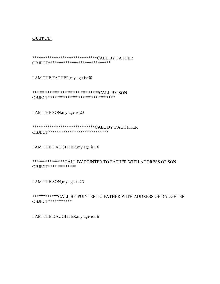#### **OUTPUT:**

\*\*\*\*\*\*\*\*\*\*\*\*\*\*\*\*\*\*\*\*\*\*\*\*\*\*\*\*\*\*CALL BY FATHER OBJECT\*\*\*\*\*\*\*\*\*\*\*\*\*\*\*\*\*\*\*\*\*\*\*\*\*\*\*\*\*

I AM THE FATHER,my age is:50

\*\*\*\*\*\*\*\*\*\*\*\*\*\*\*\*\*\*\*\*\*\*\*\*\*\*\*\*\*\*\*CALL BY SON OBJECT\*\*\*\*\*\*\*\*\*\*\*\*\*\*\*\*\*\*\*\*\*\*\*\*\*\*\*\*\*\*\*

I AM THE SON,my age is:23

\*\*\*\*\*\*\*\*\*\*\*\*\*\*\*\*\*\*\*\*\*\*\*\*\*\*\*\*\*CALL BY DAUGHTER OBJECT\*\*\*\*\*\*\*\*\*\*\*\*\*\*\*\*\*\*\*\*\*\*\*\*\*\*\*\*

I AM THE DAUGHTER,my age is:16

\*\*\*\*\*\*\*\*\*\*\*\*\*\*\*CALL BY POINTER TO FATHER WITH ADDRESS OF SON OBJECT\*\*\*\*\*\*\*\*\*\*\*\*\*

I AM THE SON,my age is:23

\*\*\*\*\*\*\*\*\*\*\*\*CALL BY POINTER TO FATHER WITH ADDRESS OF DAUGHTER OBJECT\*\*\*\*\*\*\*\*\*\*\*

I AM THE DAUGHTER,my age is:16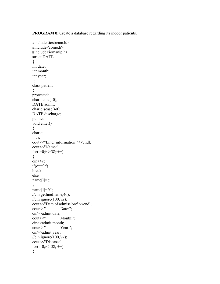**PROGRAM 8**: Create a database regarding its indoor patients.

#include<iostream.h> #include<conio.h> #include<iomanip.h> struct DATE { int date; int month; int year; }; class patient  $\{$ protected: char name[40]; DATE admit; char disease[40]; DATE discharge; public: void enter() { char c; int i; cout<<"Enter information:"<<endl; cout << "Name:"; for( $i=0; i \le 38; i++)$ {  $\text{cin} \geq \text{c};$  $if(c=='\rceil')$ break; else  $name[i]=c;$ } name[i]= $'\0$ ; //cin.getline(name,40); //cin.ignore(100, $\ln$ ); cout << "Date of admission:" << < endl; cout<<" Date:"; cin>>admit.date;<br>cout<<" Month:"; cin>>admit.month;<br>cout<<" Ye Year:"; cin>>admit.year;  $\frac{\gamma}{\gamma}$ . ignore(100, $\ln$ ); cout << "Disease:"; for( $i=0; i \le 38; i++)$ {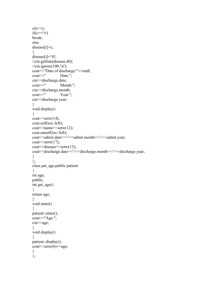```
\text{cin} \geq \text{c};
if(c=='\rceil')break; 
else 
disease[i]=c; 
} 
disease[i]='\0'; 
//cin.getline(disease,40); 
\frac{\pi}{2}. ignore(100,\ln);
cout << "Date of discharge:" << < endl;
cout<<" Date:"; 
cin>>discharge.date; 
cout<<" Month:"; 
cin>>discharge.month; 
cout<<" Year:"; 
cin>>discharge.year; 
} 
void display() 
{ 
\text{cout} \leq \text{setw}(14);cout.setf(ios::left); 
\text{cout} < setw(12);
cout.unsetf(ios::left); 
cout<<admit.date<<<'-'<<admit.month<<'-'<<admit.year;
\text{cout} \leq \text{setw}(17);
cout<<disease<<setw(13); 
cout<<discharge.date<<'-'<<discharge.month<<'-'<<discharge.year; 
} 
}; 
class pat_age:public patient 
{ 
int age; 
public: 
int get_age() 
\left\{ \right.return age; 
} 
void enter() 
\{patient::enter(); 
cout << "Age:";
cin>>age; 
} 
void display() 
{ 
patient::display(); 
cout<<setw(6)<<age; 
} 
};
```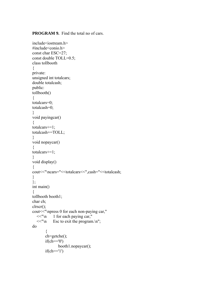**PROGRAM 9.** Find the total no of cars.

```
include<iostream.h> 
\#include\leconio.h>const char ESC=27; 
const double TOLL=0.5; 
class tollbooth 
\{private: 
unsigned int totalcars; 
double totalcash; 
public: 
tollbooth() 
{ 
totalcars=0; 
totalcash=0; 
}
void payingcar() 
{ 
totalcars+=1; 
totalcash+=TOLL; 
}
void nopaycar() 
{ 
totalcars+=1; 
} 
void display() 
\{cout<<"\ncars="<<totalcars<<",cash="<<totalcash; 
} 
}; 
int main() 
\{tollbooth booth1; 
char ch; 
clrscr(); 
cout<<"\npress 0 for each non-paying car," 
  <<"\n 1 for each paying car,"
  <<"\n Esc to exit the program.\n";
do 
\{ ch=getche(); 
       if(ch=='0') booth1.nopaycar(); 
       if(ch=='1')
```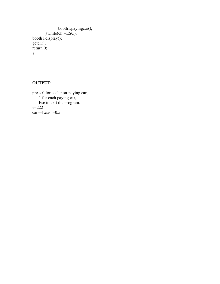```
 booth1.payingcar(); 
\}while(ch!=ESC);
booth1.display(); 
getch(); 
return 0; 
}
```
## **OUTPUT:**

press 0 for each non-paying car, 1 for each paying car, Esc to exit the program.  $-222$ cars=1,cash=0.5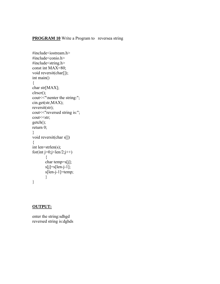### **PROGRAM 10** Write a Program to reversea string

```
#include<iostream.h> 
#include<conio.h> 
#include<string.h> 
const int MAX=80; 
void reversit(char[]); 
int main() 
{ 
char str[MAX]; 
clrscr(); 
cout << "\nenter the string:";
cin.get(str,MAX); 
reversit(str); 
cout << "reversed string is:";
cout << str;
getch(); 
return 0; 
} 
void reversit(char s[]) 
{ 
int len=strlen(s); 
for(int j=0;j<len/2;j++)
         { 
        char temp=s[j]; 
        s[j]=s[len-j-1]; s[len-j-1]=temp; 
         } 
}
```
#### **OUTPUT:**

enter the string:sdhgd reversed string is:dghds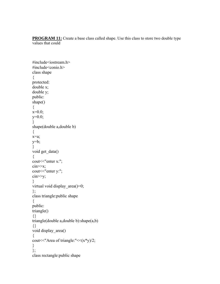**PROGRAM 11:** Create a base class called shape. Use this class to store two double type values that could

```
#include<iostream.h> 
#include<conio.h> 
class shape 
{ 
protected: 
double x; 
double y; 
public: 
shape() 
{ 
x=0.0;
y=0.0;
} 
shape(double a,double b) 
{ 
x=a; 
y=b; 
} 
void get data()
{ 
cout << "enter x:";
cin>>x; 
cout << "enter y:";
cin>>y; 
} 
virtual void display_area()=0;
}; 
class triangle:public shape 
{ 
public: 
triangle() 
{} 
triangle(double a,double b):shape(a,b) 
{} 
void display_area() 
\{cout << "Area of triangle: "<<(x*y)/2;
} 
}; 
class rectangle:public shape
```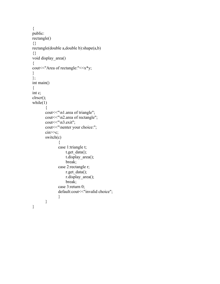```
{ 
public: 
rectangle() 
{} 
rectangle(double a,double b):shape(a,b) 
{} 
void display_area() 
\{cout << "Area of rectangle:" << x*y;
} 
}; 
int main() 
\{int c; 
clrscr(); 
while(1)\{cout << "\n1.area of triangle";
         cout<<"\n2.area of rectangle"; 
        cout << "\n 3.exit";
        cout << "\nenter your choice:";
        \text{cin} \geq \text{c};
         switch(c) 
\{ case 1:triangle t; 
                     t.get_data();
                      t.display_area(); 
                      break; 
                 case 2:rectangle r; 
                      r.get_data(); 
                      r.display_area(); 
                      break; 
                 case 3:return 0; 
                default:cout << "invalid choice";
                  } 
         } 
}
```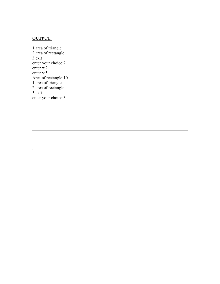# **OUTPUT:**

.

1.area of triangle 2.area of rectangle 3.exit enter your choice:2 enter x:2 enter y:5 Area of rectangle:10 1.area of triangle 2.area of rectangle 3.exit enter your choice:3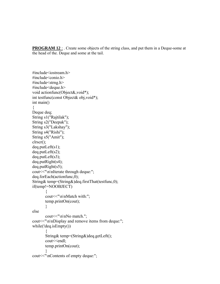**PROGRAM 12** : . Create some objects of the string class, and put them in a Deque-some at the head of the. Deque and some at the tail.

```
#include<iostream.h> 
\#include\leconio h>#include<strng.h> 
#include<deque.h> 
void actionfunc(Object&,void*); 
int testfunc(const Object& obj,void*); 
int main() 
{ 
Deque deq; 
String s1("Rajtilak"); 
String s2("Deepak"); 
String s3("Lakshay"); 
String s4("Rishi"); 
String s5("Amit"); 
clrscr(); 
deq.putLeft(s1);deq.putLeft(s2); 
deq.putLeft(s3);deq.putRight(s4); 
deq.putRight(s5); 
cout << "\n\nIterate through deque:";
deq.forEach(actionfunc,0); 
String& temp=(String&)deq.firstThat(testfunc,0); 
if(temp!=NOOBJECT) 
       \left\{ \right.cout<<"\n\nMatch with:";
        temp.printOn(cout); 
        } 
else 
       cout << "\n\nNo match.";
cout << "\n\nDisplay and remove items from deque:";
while(!deq.isEmpty()) 
\{ String& temp=(String&)deq.getLeft(); 
        cout<<endl; 
        temp.printOn(cout); 
        } 
cout << "\nContents of empty deque:";
```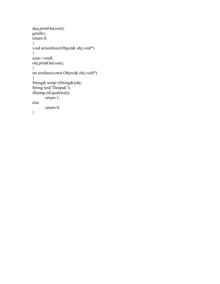```
deq.printOn(cout); 
getch(); 
return 0; 
} 
void actionfunc(Object& obj,void*) 
\{cout <<<<<<<<<<<<<
obj.printOn(cout); 
} 
int testfunc(const Object& obj,void*) 
\{String& temp=(String&)obj; 
String test("Deepak"); 
if(temp.isEqual(test)) 
       return 1;
else 
        return 0; 
}
```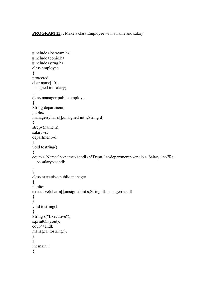**PROGRAM 13:** Make a class Employee with a name and salary

```
#include<iostream.h> 
#include<conio.h> 
#include<strng.h> 
class employee 
\{protected: 
char name[40]; 
unsigned int salary; 
}; 
class manager:public employee 
{ 
String department; 
public: 
manager(char n[],unsigned int s,String d) 
{ 
strcpy(name,n);
salary=s; 
department=d; 
} 
void tostring() 
\{cout<<"Name:"<<name<<endl<<"Deptt:"<<department<<endl<<"Salary:"<<"Rs."
  <<salary<<endl;
} 
}; 
class executive:public manager 
{ 
public: 
executive(char n[],unsigned int s, String d):manager(n,s,d)
{ 
} 
void tostring() 
{ 
String s("Executive"); 
s.printOn(cout); 
cout<<endl; 
manager::tostring(); 
} 
}; 
int main() 
{
```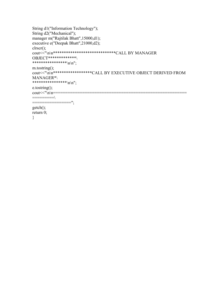```
String d1("Information Technology"); 
String d2("Mechanical"); 
manager m("Rajtilak Bhatt",15000,d1); 
executive e("Deepak Bhatt",21000,d2); 
clrscr(); 
cout<<"\n\n*****************************CALL BY MANAGER 
OBJECT*************\ 
****************\n\n"; 
m.tostring(); 
cout<<"\n\n******************CALL BY EXECUTIVE OBJECT DERIVED FROM 
MANAGER*\ 
*****************\n\n";
e.tostring(); 
cout<<"\n\n=======================================================
=========\ 
================";
getch(); 
return 0; 
}
```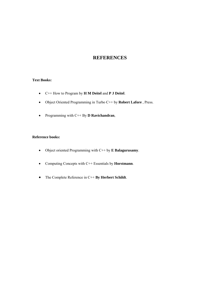# **REFERENCES**

#### **Text Books:**

- C++ How to Program by **H M Deitel** and **P J Deitel**.
- Object Oriented Programming in Turbo C++ by **Robert Lafore** , Press.
- Programming with C++ By **D Ravichandran**,

### **Reference books:**

- Object oriented Programming with C++ by **E Balagurusamy**.
- Computing Concepts with C++ Essentials by **Horstmann**.
- The Complete Reference in C++ **By Herbert Schildt**.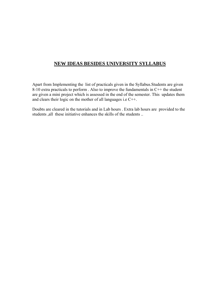# **NEW IDEAS BESIDES UNIVERSITY SYLLABUS**

Apart from Implementing the list of practicals given in the Syllabus.Students are given 8-10 extra practicals to perform . Also to improve the fundamentals in C++ the student are given a mini project which is assessed in the end of the semester. This updates them and clears their logic on the mother of all languages i.e C++.

Doubts are cleared in the tutorials and in Lab hours . Extra lab hours are provided to the students ,all these initiative enhances the skills of the students ..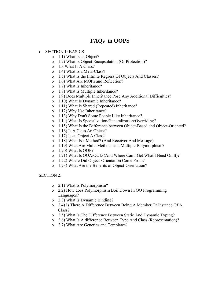# **FAQs in OOPS**

- SECTION 1: BASICS
	- o 1.1) What Is an Object?
	- o 1.2) What Is Object Encapsulation (Or Protection)?
	- o 1.3 What Is A Class?
	- o 1.4) What Is a Meta-Class?
	- o 1.5) What Is the Infinite Regress Of Objects And Classes?
	- o 1.6) What Are MOPs and Reflection?
	- o 1.7) What Is Inheritance?
	- o 1.8) What Is Multiple Inheritance?
	- o 1.9) Does Multiple Inheritance Pose Any Additional Difficulties?
	- o 1.10) What Is Dynamic Inheritance?
	- o 1.11) What Is Shared (Repeated) Inheritance?
	- o 1.12) Why Use Inheritance?
	- o 1.13) Why Don't Some People Like Inheritance?
	- o 1.14) What Is Specialization/Generalization/Overriding?
	- o 1.15) What Is the Difference between Object-Based and Object-Oriented?
	- o 1.16) Is A Class An Object?
	- o 1.17) Is an Object A Class?
	- o 1.18) What Is a Method? (And Receiver And Message)
	- o 1.19) What Are Multi-Methods and Multiple-Polymorphism?
	- o 1.20) What Is OOP?
	- o 1.21) What Is OOA/OOD (And Where Can I Get What I Need On It)?
	- o 1.22) Where Did Object-Orientation Come From?
	- o 1.23) What Are the Benefits of Object-Orientation?

SECTION 2:

- o 2.1) What Is Polymorphism?
- o 2.2) How does Polymorphism Boil Down In OO Programming Languages?
- o 2.3) What Is Dynamic Binding?
- o 2.4) Is There A Difference Between Being A Member Or Instance Of A Class?
- o 2.5) What Is The Difference Between Static And Dynamic Typing?
- o 2.6) What Is A difference Between Type And Class (Representation)?
- o 2.7) What Are Generics and Templates?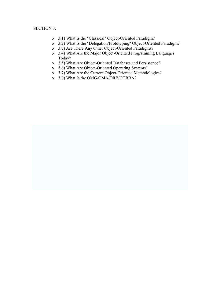#### SECTION 3:

- o 3.1) What Is the "Classical" Object-Oriented Paradigm?
- o 3.2) What Is the "Delegation/Prototyping" Object-Oriented Paradigm?
- o 3.3) Are There Any Other Object-Oriented Paradigms?
- o 3.4) What Are the Major Object-Oriented Programming Languages Today?
- o 3.5) What Are Object-Oriented Databases and Persistence?
- o 3.6) What Are Object-Oriented Operating Systems?
- o 3.7) What Are the Current Object-Oriented Methodologies?
- o 3.8) What Is the OMG/OMA/ORB/CORBA?